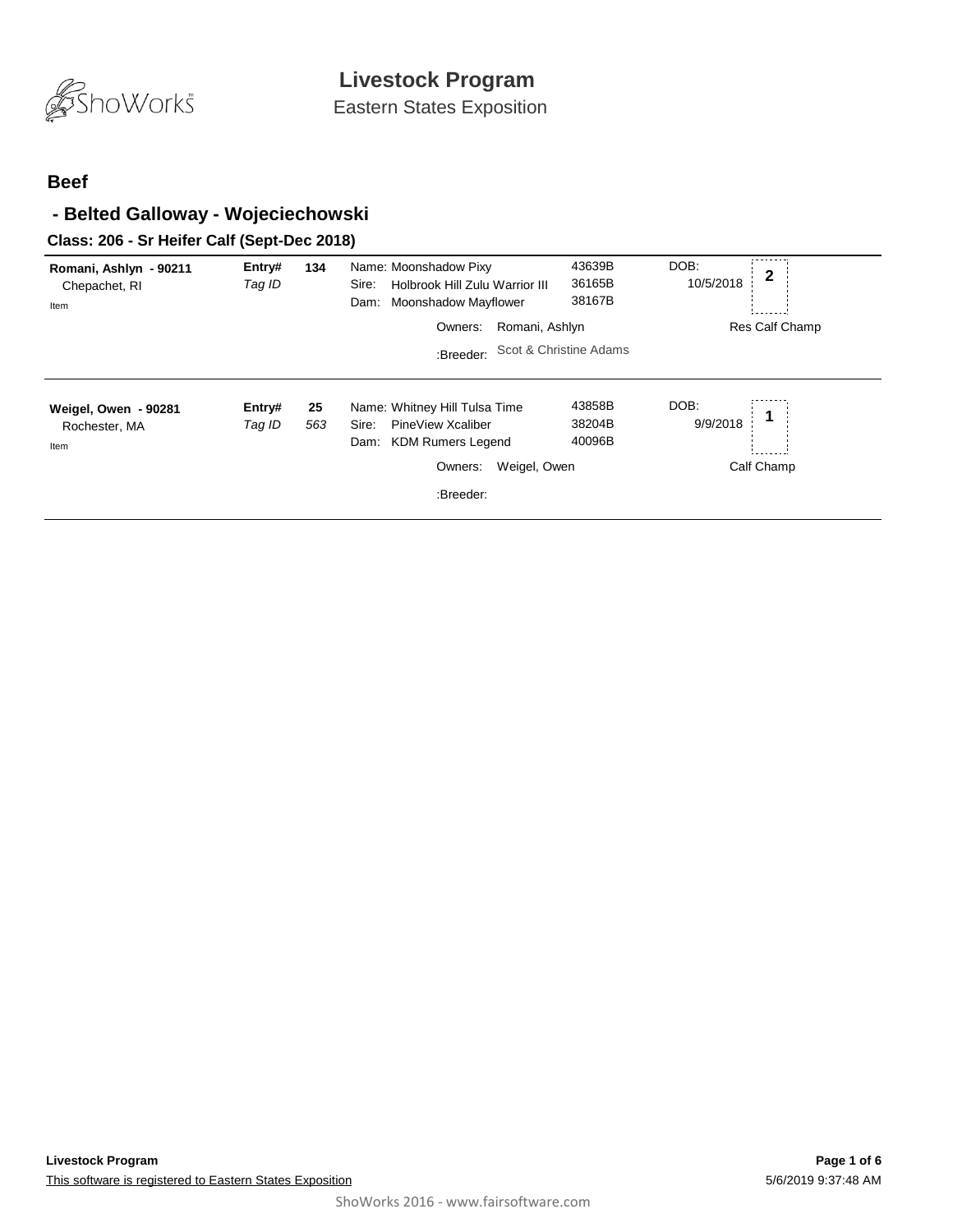

Eastern States Exposition

#### **Beef**

### **- Belted Galloway - Wojeciechowski**

### **Class: 206 - Sr Heifer Calf (Sept-Dec 2018)**

| Romani, Ashlyn - 90211<br>Chepachet, RI<br>Item | Entry#<br>Tag ID | 134       | Name: Moonshadow Pixy<br>Holbrook Hill Zulu Warrior III<br>Sire:<br><b>Moonshadow Mayflower</b><br>Dam: | 43639B<br>36165B<br>38167B | DOB:<br>$\mathbf{2}$<br>10/5/2018 |
|-------------------------------------------------|------------------|-----------|---------------------------------------------------------------------------------------------------------|----------------------------|-----------------------------------|
|                                                 |                  |           | Romani, Ashlyn<br>Owners:                                                                               |                            | Res Calf Champ                    |
|                                                 |                  |           | :Breeder:                                                                                               | Scot & Christine Adams     |                                   |
| Weigel, Owen - 90281<br>Rochester, MA<br>Item   | Entry#<br>Tag ID | 25<br>563 | Name: Whitney Hill Tulsa Time<br>PineView Xcaliber<br>Sire:<br><b>KDM Rumers Legend</b><br>Dam:         | 43858B<br>38204B<br>40096B | DOB:<br>9/9/2018                  |
|                                                 |                  |           | Weigel, Owen<br>Owners:                                                                                 |                            | Calf Champ                        |
|                                                 |                  |           | :Breeder:                                                                                               |                            |                                   |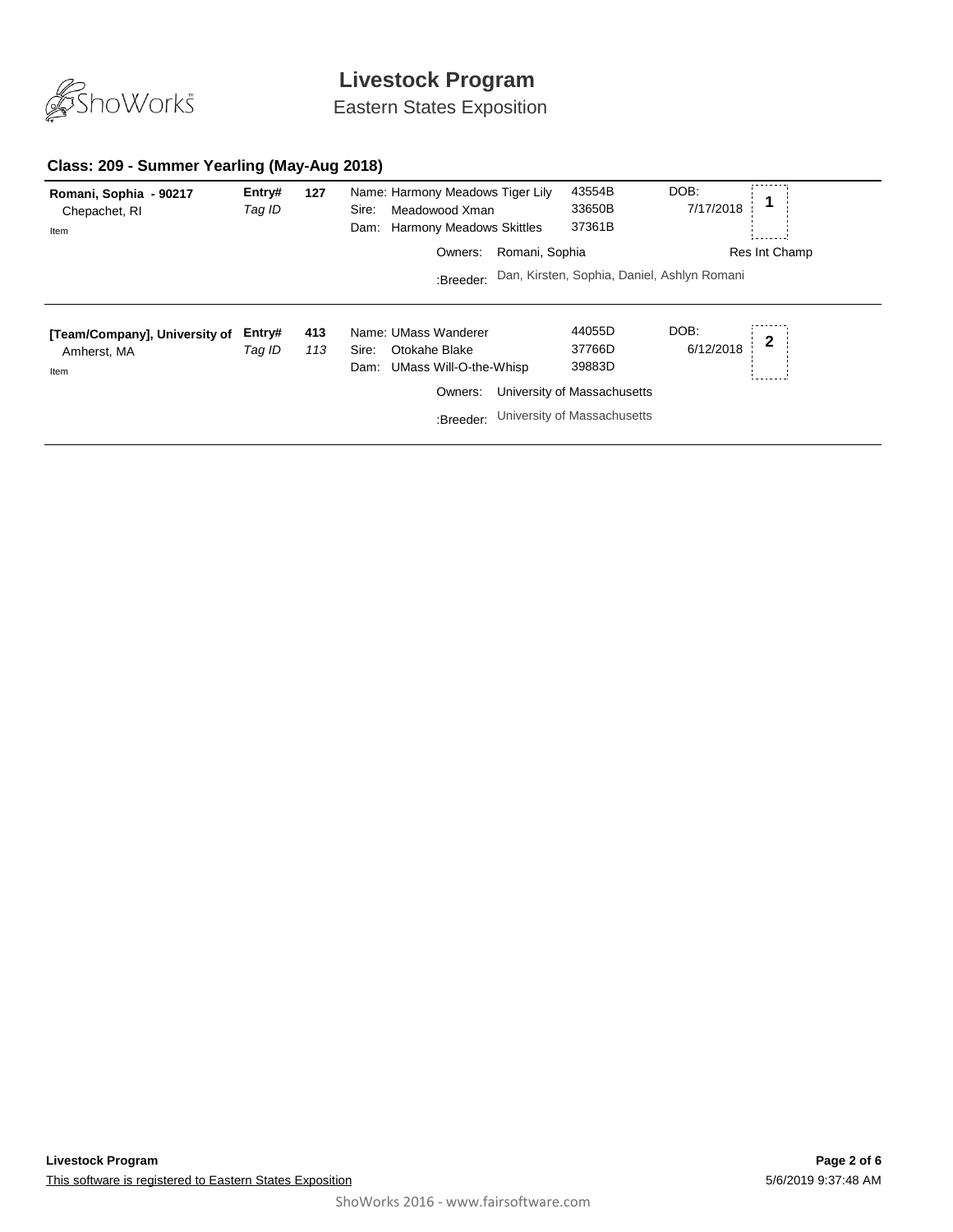

Eastern States Exposition

#### **Class: 209 - Summer Yearling (May-Aug 2018)**

| Romani, Sophia - 90217<br>Chepachet, RI<br>Item      | Entry#<br>Tag ID | 127        | Name: Harmony Meadows Tiger Lily<br>Meadowood Xman<br>Sire:<br>Dam: Harmony Meadows Skittles             | 43554B<br>33650B<br>37361B                                                               | DOB:<br>7/17/2018                 |
|------------------------------------------------------|------------------|------------|----------------------------------------------------------------------------------------------------------|------------------------------------------------------------------------------------------|-----------------------------------|
|                                                      |                  |            | Romani, Sophia<br>Owners:                                                                                |                                                                                          | Res Int Champ                     |
|                                                      |                  |            | :Breeder:                                                                                                | Dan, Kirsten, Sophia, Daniel, Ashlyn Romani                                              |                                   |
| [Team/Company], University of<br>Amherst, MA<br>Item | Entry#<br>Tag ID | 413<br>113 | Name: UMass Wanderer<br>Otokahe Blake<br>Sire:<br>UMass Will-O-the-Whisp<br>Dam:<br>Owners:<br>:Breeder: | 44055D<br>37766D<br>39883D<br>University of Massachusetts<br>University of Massachusetts | DOB:<br>$\mathbf{2}$<br>6/12/2018 |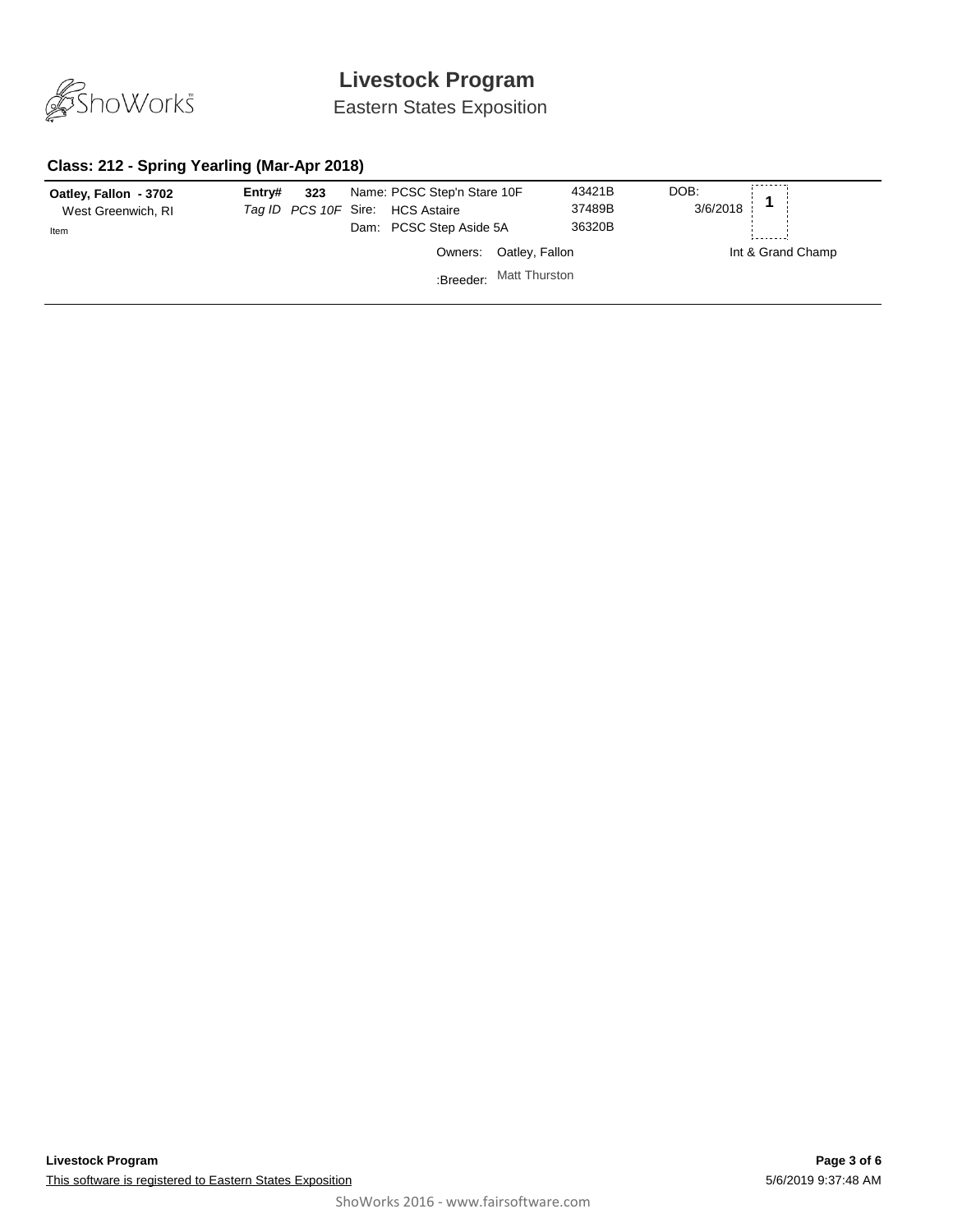

Eastern States Exposition

#### **Class: 212 - Spring Yearling (Mar-Apr 2018)**

| Oatley, Fallon - 3702<br>West Greenwich, RI<br>Item | Entry# | 323 | Name: PCSC Step'n Stare 10F<br>Tag ID PCS 10F Sire: HCS Astaire<br>Dam: PCSC Step Aside 5A |                         | 43421B<br>37489B<br>36320B | DOB:<br>3/6/2018 |                   |
|-----------------------------------------------------|--------|-----|--------------------------------------------------------------------------------------------|-------------------------|----------------------------|------------------|-------------------|
|                                                     |        |     |                                                                                            | Owners: Oatley, Fallon  |                            |                  | Int & Grand Champ |
|                                                     |        |     |                                                                                            | :Breeder: Matt Thurston |                            |                  |                   |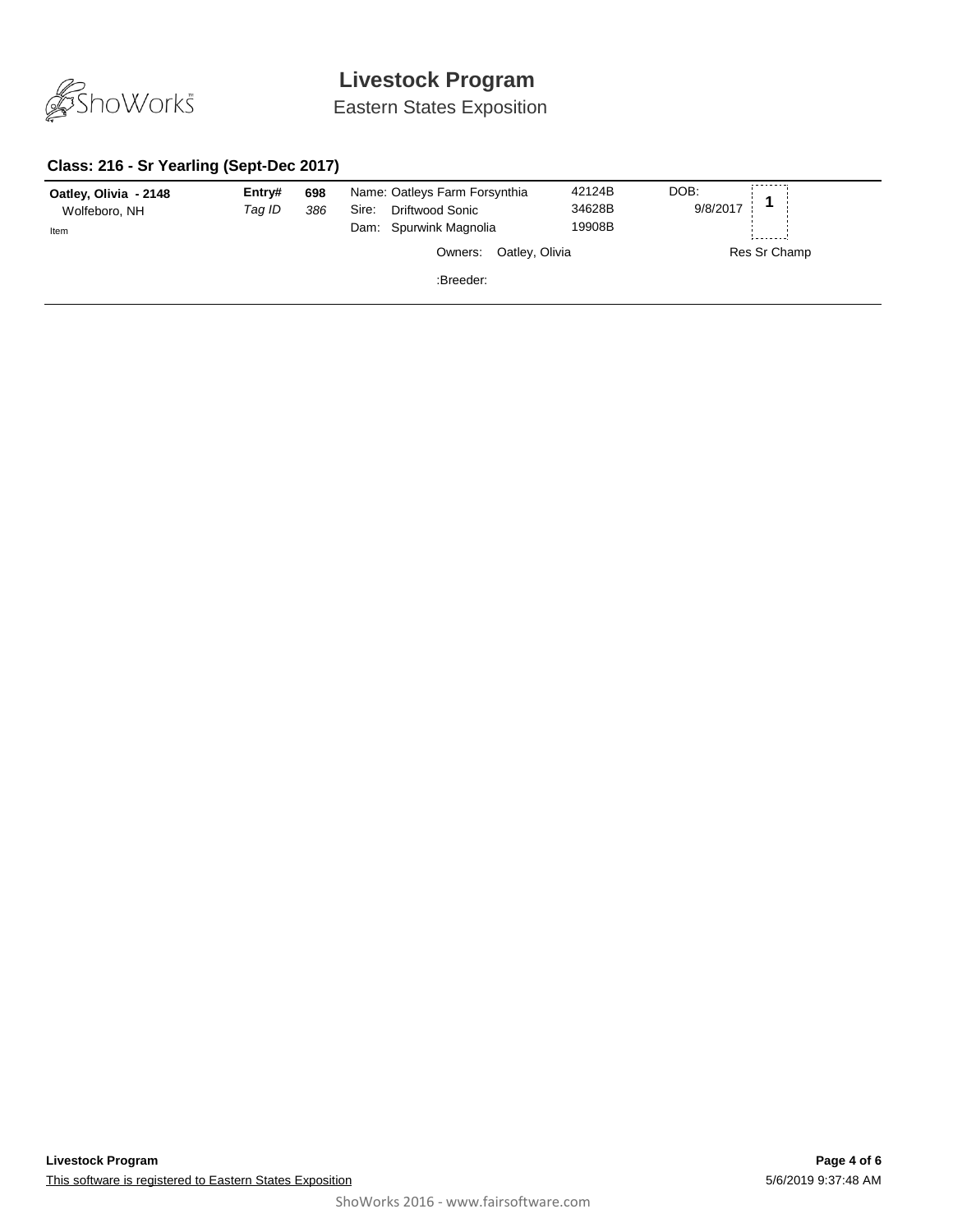

Eastern States Exposition

#### **Class: 216 - Sr Yearling (Sept-Dec 2017)**

| Oatley, Olivia - 2148<br>Wolfeboro, NH<br>Item | Entry#<br>Taq ID | 698<br>386 | Name: Oatleys Farm Forsynthia<br>Driftwood Sonic<br>Sire:<br>Dam: Spurwink Magnolia | 42124B<br>34628B<br>19908B | DOB:<br>9/8/2017 |
|------------------------------------------------|------------------|------------|-------------------------------------------------------------------------------------|----------------------------|------------------|
|                                                |                  |            | Oatley, Olivia<br>Owners:                                                           |                            | Res Sr Champ     |
|                                                |                  |            | :Breeder:                                                                           |                            |                  |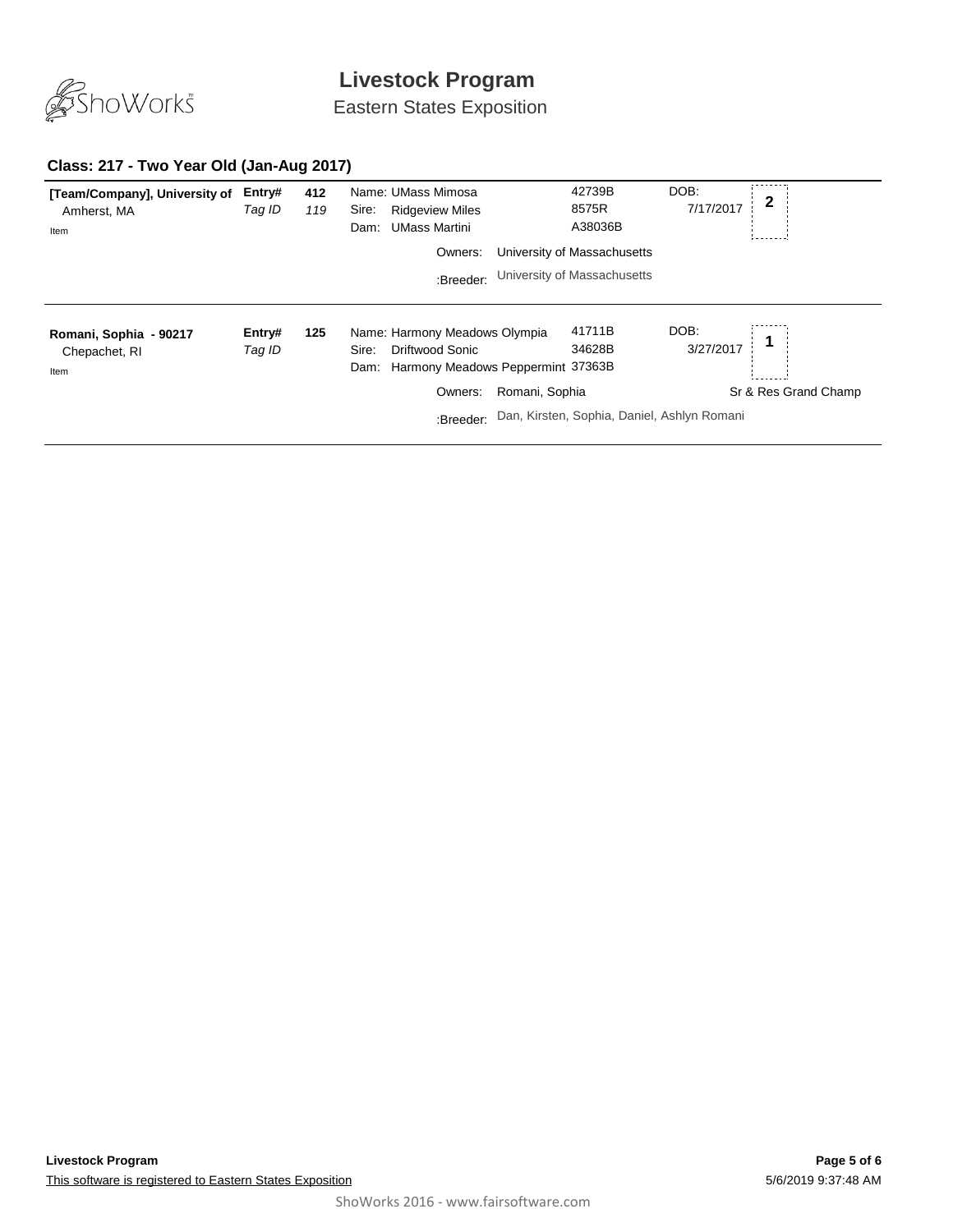

Eastern States Exposition

#### **Class: 217 - Two Year Old (Jan-Aug 2017)**

| [Team/Company], University of<br>Amherst, MA<br>Item | Entry#<br>Tag ID | 412<br>119 | Name: UMass Mimosa<br><b>Ridgeview Miles</b><br>Sire:<br><b>UMass Martini</b><br>Dam:                      | 42739B<br>8575R<br>A38036B                  | DOB:<br>7/17/2017    |
|------------------------------------------------------|------------------|------------|------------------------------------------------------------------------------------------------------------|---------------------------------------------|----------------------|
|                                                      |                  |            | Owners:                                                                                                    | University of Massachusetts                 |                      |
|                                                      |                  |            | :Breeder:                                                                                                  | University of Massachusetts                 |                      |
| Romani, Sophia - 90217<br>Chepachet, RI<br>Item      | Entry#<br>Tag ID | 125        | Name: Harmony Meadows Olympia<br><b>Driftwood Sonic</b><br>Sire:<br>Dam: Harmony Meadows Peppermint 37363B | 41711B<br>34628B                            | DOB:<br>3/27/2017    |
|                                                      |                  |            | Owners:                                                                                                    | Romani, Sophia                              | Sr & Res Grand Champ |
|                                                      |                  |            | :Breeder:                                                                                                  | Dan, Kirsten, Sophia, Daniel, Ashlyn Romani |                      |